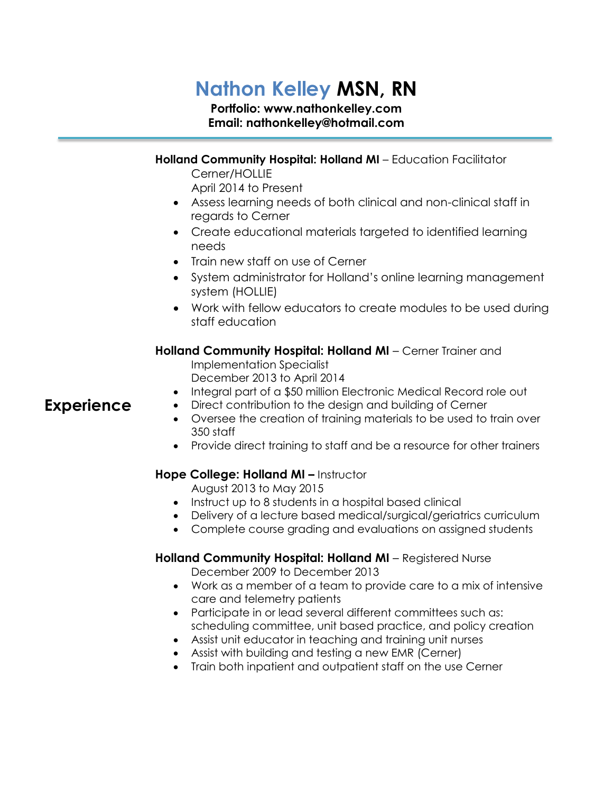## **Nathon Kelley MSN, RN**

## **Portfolio: www.nathonkelley.com Email: nathonkelley@hotmail.com**

|                   | Holland Community Hospital: Holland MI - Education Facilitator                                                                                                                                                                                            |
|-------------------|-----------------------------------------------------------------------------------------------------------------------------------------------------------------------------------------------------------------------------------------------------------|
|                   | Cerner/HOLLIE<br>April 2014 to Present                                                                                                                                                                                                                    |
|                   | • Assess learning needs of both clinical and non-clinical staff in<br>regards to Cerner                                                                                                                                                                   |
|                   | Create educational materials targeted to identified learning<br>$\bullet$<br>needs                                                                                                                                                                        |
|                   | Train new staff on use of Cerner<br>$\bullet$                                                                                                                                                                                                             |
|                   | System administrator for Holland's online learning management<br>$\bullet$<br>system (HOLLIE)                                                                                                                                                             |
|                   | Work with fellow educators to create modules to be used during<br>staff education                                                                                                                                                                         |
|                   | Holland Community Hospital: Holland MI - Cerner Trainer and<br><b>Implementation Specialist</b><br>December 2013 to April 2014                                                                                                                            |
| <b>Experience</b> | Integral part of a \$50 million Electronic Medical Record role out<br>$\bullet$<br>Direct contribution to the design and building of Cerner<br>$\bullet$<br>Oversee the creation of training materials to be used to train over<br>$\bullet$<br>350 staff |
|                   | Provide direct training to staff and be a resource for other trainers<br>$\bullet$                                                                                                                                                                        |
|                   | Hope College: Holland MI - Instructor<br>August 2013 to May 2015                                                                                                                                                                                          |
|                   | Instruct up to 8 students in a hospital based clinical<br>$\bullet$<br>Delivery of a lecture based medical/surgical/geriatrics curriculum<br>$\bullet$<br>Complete course grading and evaluations on assigned students<br>$\bullet$                       |
|                   | Holland Community Hospital: Holland MI - Registered Nurse<br>December 2009 to December 2013                                                                                                                                                               |

- Work as a member of a team to provide care to a mix of intensive care and telemetry patients
- Participate in or lead several different committees such as: scheduling committee, unit based practice, and policy creation
- Assist unit educator in teaching and training unit nurses
- Assist with building and testing a new EMR (Cerner)
- Train both inpatient and outpatient staff on the use Cerner